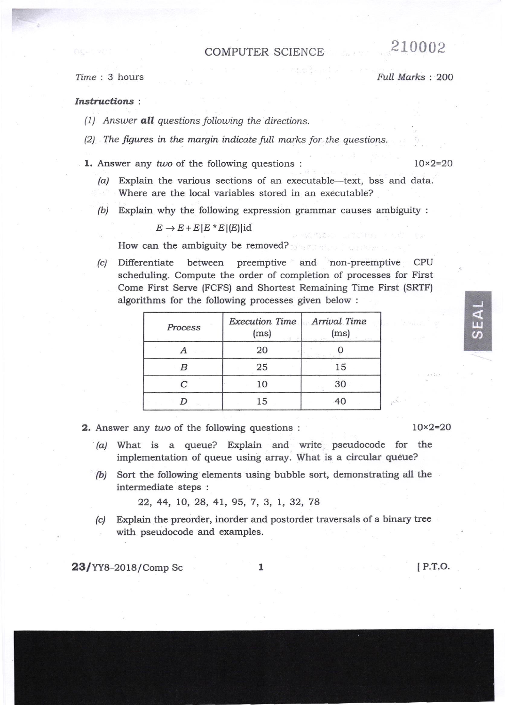## **COMPUTER SCIENCE**

## Time: 3 hours

## Full Marks: 200

210002

## Instructions:

- (1) Answer **all** questions following the directions.
- (2) The figures in the margin indicate full marks for the questions.

1. Answer any two of the following questions:

 $10 \times 2 = 20$ 

- Explain the various sections of an executable-text, bss and data.  $(a)$ Where are the local variables stored in an executable?
- (b) Explain why the following expression grammar causes ambiguity :

 $E \rightarrow E + E |E * E |E|$ id

How can the ambiguity be removed?

between preemptive and non-preemptive (c) Differentiate CPU scheduling. Compute the order of completion of processes for First Come First Serve (FCFS) and Shortest Remaining Time First (SRTF) algorithms for the following processes given below:

| Process | Execution Time<br>(ms) | Arrival Time<br>(ms)<br>od we |
|---------|------------------------|-------------------------------|
|         | 20                     |                               |
|         | 25                     | 15                            |
|         | 10                     | 30                            |
|         | 15                     |                               |

- 2. Answer any two of the following questions:
	- (a) What is a queue? Explain and write pseudocode for the implementation of queue using array. What is a circular queue?
	- (b) Sort the following elements using bubble sort, demonstrating all the intermediate steps :

22, 44, 10, 28, 41, 95, 7, 3, 1, 32, 78

Explain the preorder, inorder and postorder traversals of a binary tree  $|c|$ with pseudocode and examples.

23/YY8-2018/Comp Sc

 $\mathbf{1}$ 

 $[$  P.T.O.

 $10 \times 2 = 20$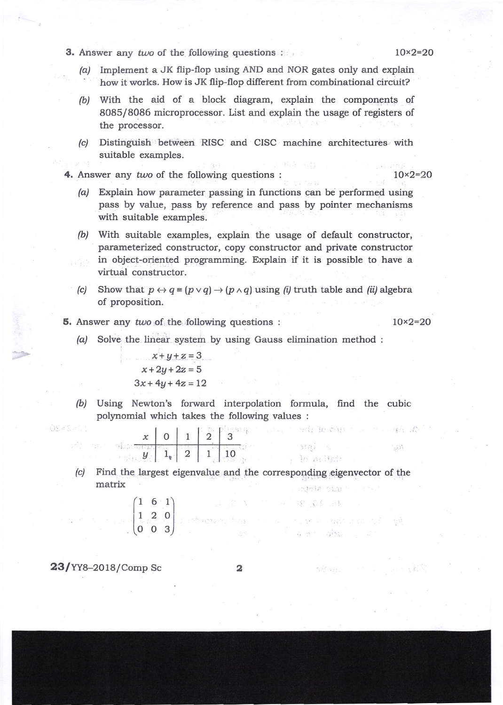**3.** Answer any two of the following questions :  $10 \times 2 = 20$ 

- /a/ Implement a JK flip-flop using AND and NOR gates only and explain ' how it works. How is JK flip-flop different from combinational circirit?
- (b) With the aid of a block diagram, explain the components of 8085/8086 microprocessor. List and explain the usage of registers of the processor,
- (c) Distinguish betrieen RISC and CISC machine architectures. with suitable examples.
- 4. Answer any two of the following questions :  $10 \times 2 = 20$

- /a/ Explain how parameter passing in functions can be performed using pass by value, pass by reference and pass by pointer mechanisms with suitable examples.
- (b) With suitable examples, explain the usage of default constructor, parameterized constructor, copy constructor and private constructor in object-oriented programming. Explain if it is possible to have <sup>a</sup> virtual constructor.
- (c) Show that  $p \leftrightarrow q \equiv (p \lor q) \rightarrow (p \land q)$  using (i) truth table and (ii) algebra of proposition.
- **5.** Answer any two of the following questions :  $10 \times 2 = 20$

 $1 - 5$ 

 $\sim$ 

 $\pm 63$ 

/a/ Solve the linear system by using Gauss elimination method :

$$
x+y+z=3
$$
  
x+2y+2z=5  
3x+4y+4z=12

(b) Using Newton's forward interpolation formula, find the cubic polynomial which takes the following values :

and do call a

 $5575 - 6.$ 

 $, 30$  milistr

第 看到 运转

 $6.81 - 300$  .

 $\label{eq:2.1} \frac{\partial}{\partial x} \frac{\partial}{\partial y} \frac{\partial}{\partial y} = \frac{\partial}{\partial y} \frac{\partial}{\partial y} \frac{\partial}{\partial y} \frac{\partial}{\partial y}$ 

The result of the control of the state of the state of the state of the state of

| ı |  |    |
|---|--|----|
|   |  | 10 |

(c) Find the largest eigenvalue and the corresponding eigenvector of the matrix strele sim

 $1.774$ 

$$
\begin{pmatrix} 1 & 6 & 1 \\ 1 & 2 & 0 \\ 0 & 0 & 3 \end{pmatrix}
$$

 $23$ /YY8-2018/Comp Sc  $2$ 

the state

05-5-01

 $\label{eq:2.1} \begin{array}{c} \mathcal{L}_{\text{eff}}(\mathcal{L}_{\text{eff}}) = \mathcal{L}_{\text{eff}}(\mathcal{L}_{\text{eff}}) \end{array}$